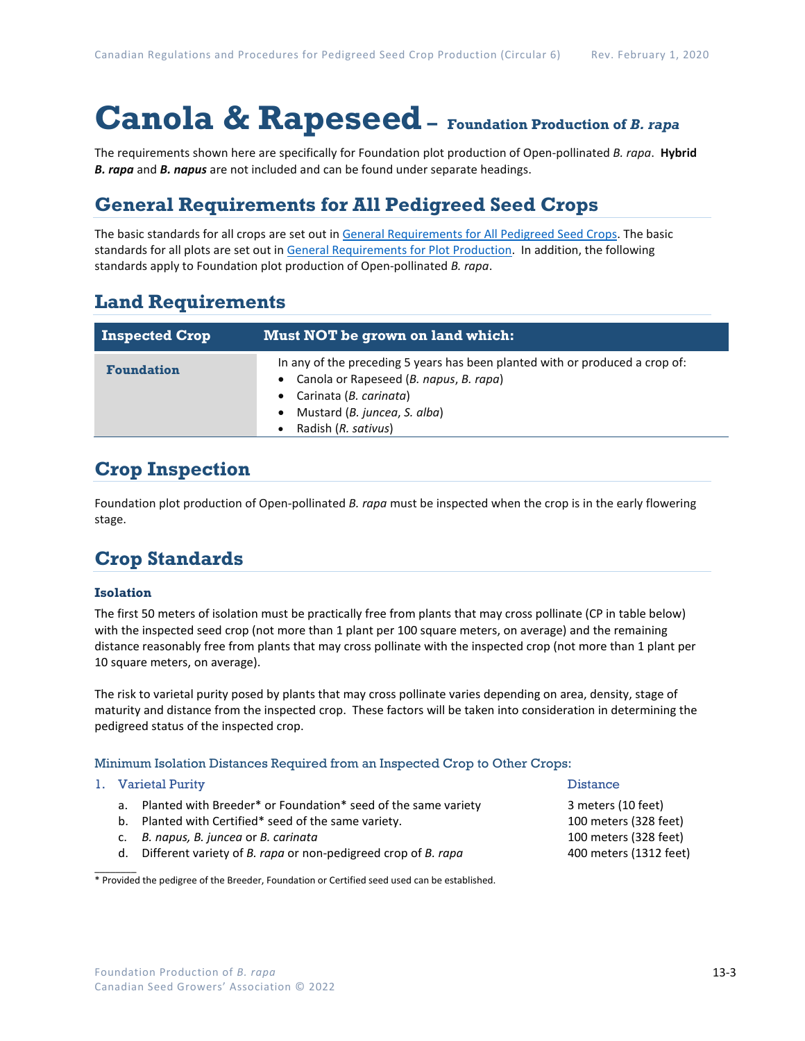# **Canola & Rapeseed– Foundation Production of** *B. rapa*

The requirements shown here are specifically for Foundation plot production of Open-pollinated *B. rapa*. **Hybrid**  *B. rapa* and *B. napus* are not included and can be found under separate headings.

### **General Requirements for All Pedigreed Seed Crops**

The basic standards for all crops are set out i[n General Requirements for All Pedigreed Seed](https://seedgrowers.ca/wp-content/uploads/2020/01/GENERAL-REQUIREMENTS-ALL-CROPS_EN.pdf) Crops. The basic standards for all plots are set out i[n General Requirements for Plot Production.](https://seedgrowers.ca/wp-content/uploads/2020/01/GENERAL-REQUIREMENTS-PLOTS_EN.pdf) In addition, the following standards apply to Foundation plot production of Open-pollinated *B. rapa*.

### **Land Requirements**

| <b>Inspected Crop</b> | Must NOT be grown on land which:                                                                                                                                                                          |  |  |  |  |
|-----------------------|-----------------------------------------------------------------------------------------------------------------------------------------------------------------------------------------------------------|--|--|--|--|
| <b>Foundation</b>     | In any of the preceding 5 years has been planted with or produced a crop of:<br>Canola or Rapeseed (B. napus, B. rapa)<br>• Carinata (B. carinata)<br>Mustard (B. juncea, S. alba)<br>Radish (R. sativus) |  |  |  |  |

## **Crop Inspection**

Foundation plot production of Open-pollinated *B. rapa* must be inspected when the crop is in the early flowering stage.

## **Crop Standards**

### **Isolation**

The first 50 meters of isolation must be practically free from plants that may cross pollinate (CP in table below) with the inspected seed crop (not more than 1 plant per 100 square meters, on average) and the remaining distance reasonably free from plants that may cross pollinate with the inspected crop (not more than 1 plant per 10 square meters, on average).

The risk to varietal purity posed by plants that may cross pollinate varies depending on area, density, stage of maturity and distance from the inspected crop. These factors will be taken into consideration in determining the pedigreed status of the inspected crop.

#### Minimum Isolation Distances Required from an Inspected Crop to Other Crops:

#### 1. Varietal Purity **Distance International Purity Property** of the United States of the Distance

 $\overline{\phantom{a}}$ 

- a. Planted with Breeder\* or Foundation\* seed of the same variety 3 meters (10 feet)
- b. Planted with Certified\* seed of the same variety. 100 meters (328 feet)
- c. *B. napus, B. juncea* or *B. carinata* 100 meters (328 feet)
- d. Different variety of *B. rapa* or non-pedigreed crop of *B. rapa* 400 meters (1312 feet)

\* Provided the pedigree of the Breeder, Foundation or Certified seed used can be established.